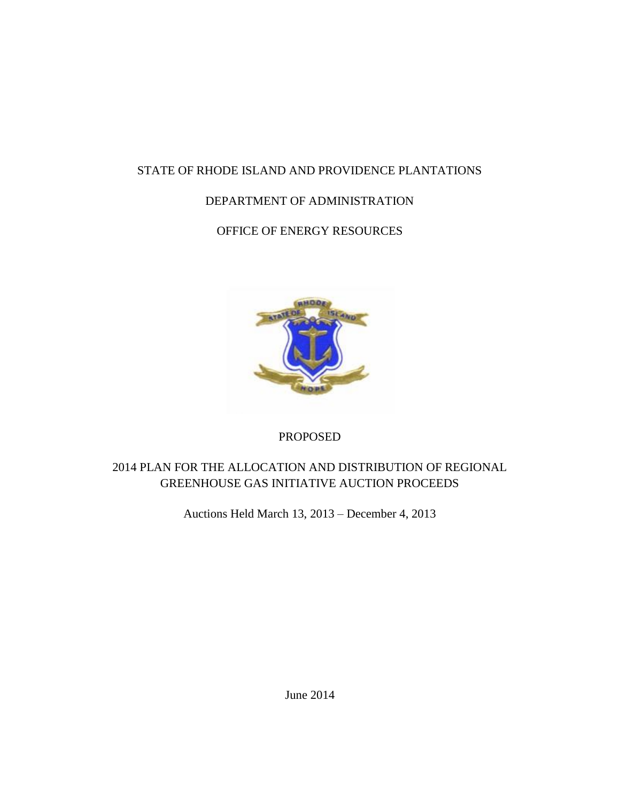# STATE OF RHODE ISLAND AND PROVIDENCE PLANTATIONS

# DEPARTMENT OF ADMINISTRATION

OFFICE OF ENERGY RESOURCES



### PROPOSED

# 2014 PLAN FOR THE ALLOCATION AND DISTRIBUTION OF REGIONAL GREENHOUSE GAS INITIATIVE AUCTION PROCEEDS

Auctions Held March 13, 2013 – December 4, 2013

June 2014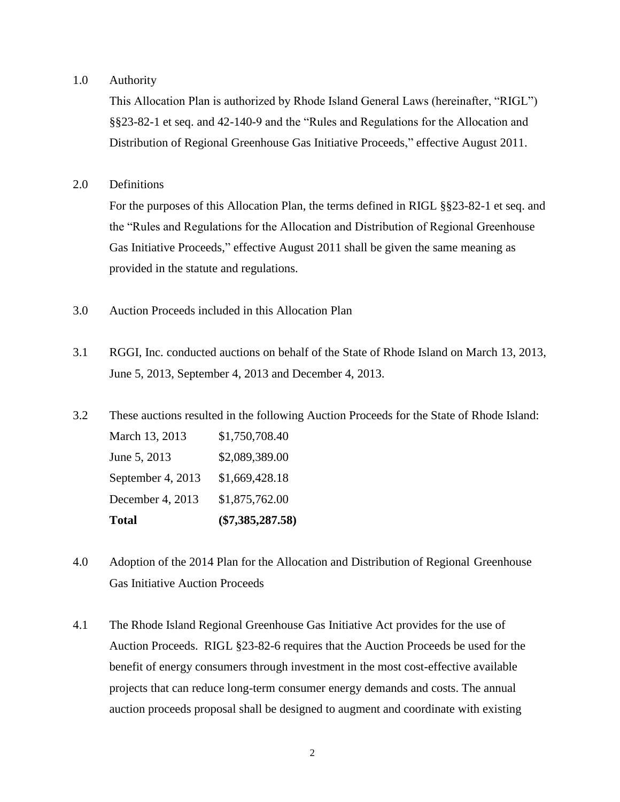#### 1.0 Authority

This Allocation Plan is authorized by Rhode Island General Laws (hereinafter, "RIGL") §§23-82-1 et seq. and 42-140-9 and the "Rules and Regulations for the Allocation and Distribution of Regional Greenhouse Gas Initiative Proceeds," effective August 2011.

2.0 Definitions

For the purposes of this Allocation Plan, the terms defined in RIGL §§23-82-1 et seq. and the "Rules and Regulations for the Allocation and Distribution of Regional Greenhouse Gas Initiative Proceeds," effective August 2011 shall be given the same meaning as provided in the statute and regulations.

- 3.0 Auction Proceeds included in this Allocation Plan
- 3.1 RGGI, Inc. conducted auctions on behalf of the State of Rhode Island on March 13, 2013, June 5, 2013, September 4, 2013 and December 4, 2013.
- 3.2 These auctions resulted in the following Auction Proceeds for the State of Rhode Island: March 13, 2013 \$1,750,708.40 June 5, 2013 \$2,089,389.00 September 4, 2013 \$1,669,428.18 December 4, 2013 \$1,875,762.00 **Total (\$7,385,287.58)**
- 4.0 Adoption of the 2014 Plan for the Allocation and Distribution of Regional Greenhouse Gas Initiative Auction Proceeds
- 4.1 The Rhode Island Regional Greenhouse Gas Initiative Act provides for the use of Auction Proceeds. RIGL §23-82-6 requires that the Auction Proceeds be used for the benefit of energy consumers through investment in the most cost-effective available projects that can reduce long-term consumer energy demands and costs. The annual auction proceeds proposal shall be designed to augment and coordinate with existing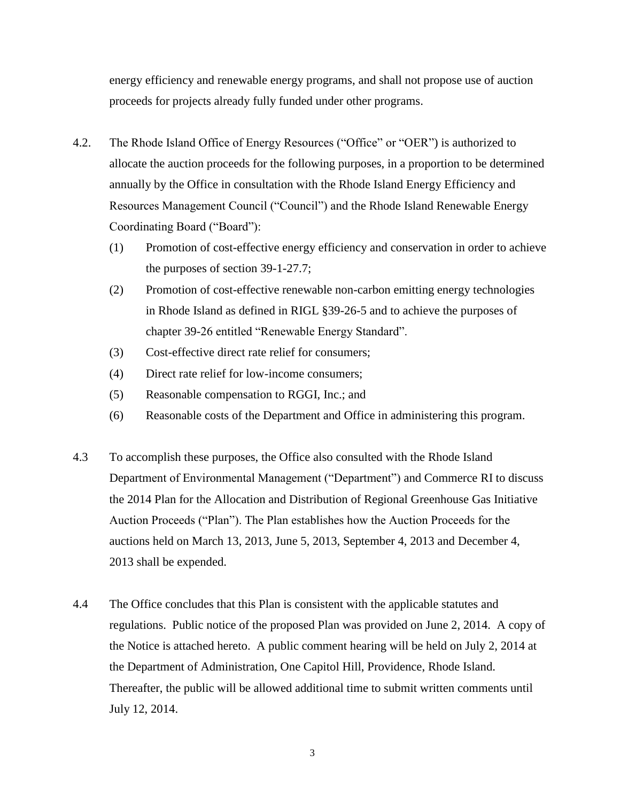energy efficiency and renewable energy programs, and shall not propose use of auction proceeds for projects already fully funded under other programs.

- 4.2. The Rhode Island Office of Energy Resources ("Office" or "OER") is authorized to allocate the auction proceeds for the following purposes, in a proportion to be determined annually by the Office in consultation with the Rhode Island Energy Efficiency and Resources Management Council ("Council") and the Rhode Island Renewable Energy Coordinating Board ("Board"):
	- (1) Promotion of cost-effective energy efficiency and conservation in order to achieve the purposes of section 39-1-27.7;
	- (2) Promotion of cost-effective renewable non-carbon emitting energy technologies in Rhode Island as defined in RIGL §39-26-5 and to achieve the purposes of chapter 39-26 entitled "Renewable Energy Standard".
	- (3) Cost-effective direct rate relief for consumers;
	- (4) Direct rate relief for low-income consumers;
	- (5) Reasonable compensation to RGGI, Inc.; and
	- (6) Reasonable costs of the Department and Office in administering this program.
- 4.3 To accomplish these purposes, the Office also consulted with the Rhode Island Department of Environmental Management ("Department") and Commerce RI to discuss the 2014 Plan for the Allocation and Distribution of Regional Greenhouse Gas Initiative Auction Proceeds ("Plan"). The Plan establishes how the Auction Proceeds for the auctions held on March 13, 2013, June 5, 2013, September 4, 2013 and December 4, 2013 shall be expended.
- 4.4 The Office concludes that this Plan is consistent with the applicable statutes and regulations. Public notice of the proposed Plan was provided on June 2, 2014. A copy of the Notice is attached hereto. A public comment hearing will be held on July 2, 2014 at the Department of Administration, One Capitol Hill, Providence, Rhode Island. Thereafter, the public will be allowed additional time to submit written comments until July 12, 2014.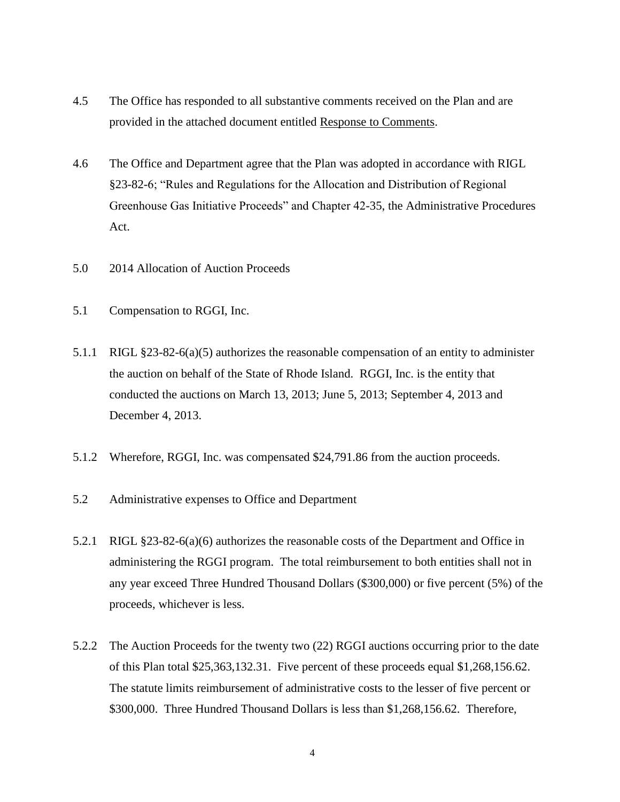- 4.5 The Office has responded to all substantive comments received on the Plan and are provided in the attached document entitled Response to Comments.
- 4.6 The Office and Department agree that the Plan was adopted in accordance with RIGL §23-82-6; "Rules and Regulations for the Allocation and Distribution of Regional Greenhouse Gas Initiative Proceeds" and Chapter 42-35, the Administrative Procedures Act.
- 5.0 2014 Allocation of Auction Proceeds
- 5.1 Compensation to RGGI, Inc.
- 5.1.1 RIGL §23-82-6(a)(5) authorizes the reasonable compensation of an entity to administer the auction on behalf of the State of Rhode Island. RGGI, Inc. is the entity that conducted the auctions on March 13, 2013; June 5, 2013; September 4, 2013 and December 4, 2013.
- 5.1.2 Wherefore, RGGI, Inc. was compensated \$24,791.86 from the auction proceeds.
- 5.2 Administrative expenses to Office and Department
- 5.2.1 RIGL §23-82-6(a)(6) authorizes the reasonable costs of the Department and Office in administering the RGGI program. The total reimbursement to both entities shall not in any year exceed Three Hundred Thousand Dollars (\$300,000) or five percent (5%) of the proceeds, whichever is less.
- 5.2.2 The Auction Proceeds for the twenty two (22) RGGI auctions occurring prior to the date of this Plan total \$25,363,132.31. Five percent of these proceeds equal \$1,268,156.62. The statute limits reimbursement of administrative costs to the lesser of five percent or \$300,000. Three Hundred Thousand Dollars is less than \$1,268,156.62. Therefore,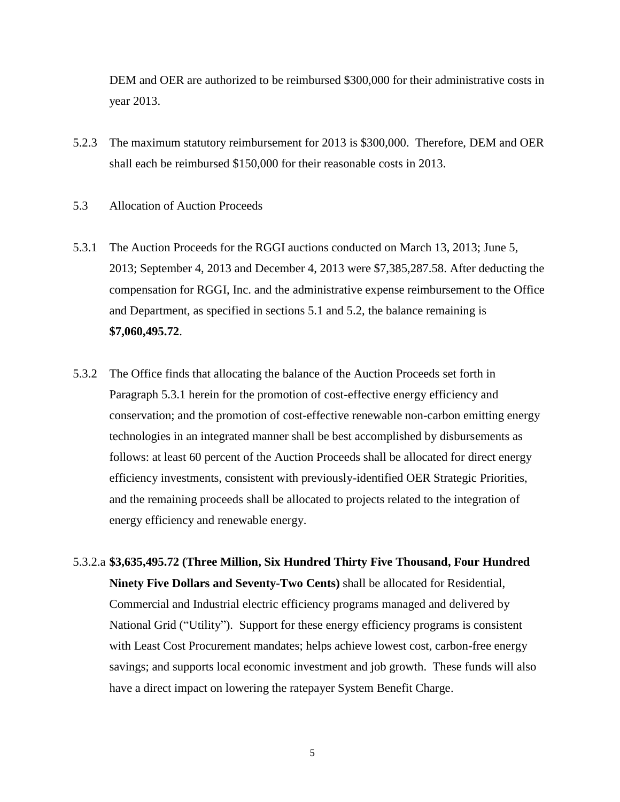DEM and OER are authorized to be reimbursed \$300,000 for their administrative costs in year 2013.

- 5.2.3 The maximum statutory reimbursement for 2013 is \$300,000. Therefore, DEM and OER shall each be reimbursed \$150,000 for their reasonable costs in 2013.
- 5.3 Allocation of Auction Proceeds
- 5.3.1 The Auction Proceeds for the RGGI auctions conducted on March 13, 2013; June 5, 2013; September 4, 2013 and December 4, 2013 were \$7,385,287.58. After deducting the compensation for RGGI, Inc. and the administrative expense reimbursement to the Office and Department, as specified in sections 5.1 and 5.2, the balance remaining is **\$7,060,495.72**.
- 5.3.2 The Office finds that allocating the balance of the Auction Proceeds set forth in Paragraph 5.3.1 herein for the promotion of cost-effective energy efficiency and conservation; and the promotion of cost-effective renewable non-carbon emitting energy technologies in an integrated manner shall be best accomplished by disbursements as follows: at least 60 percent of the Auction Proceeds shall be allocated for direct energy efficiency investments, consistent with previously-identified OER Strategic Priorities, and the remaining proceeds shall be allocated to projects related to the integration of energy efficiency and renewable energy.
- 5.3.2.a **\$3,635,495.72 (Three Million, Six Hundred Thirty Five Thousand, Four Hundred Ninety Five Dollars and Seventy-Two Cents)** shall be allocated for Residential, Commercial and Industrial electric efficiency programs managed and delivered by National Grid ("Utility"). Support for these energy efficiency programs is consistent with Least Cost Procurement mandates; helps achieve lowest cost, carbon-free energy savings; and supports local economic investment and job growth. These funds will also have a direct impact on lowering the ratepayer System Benefit Charge.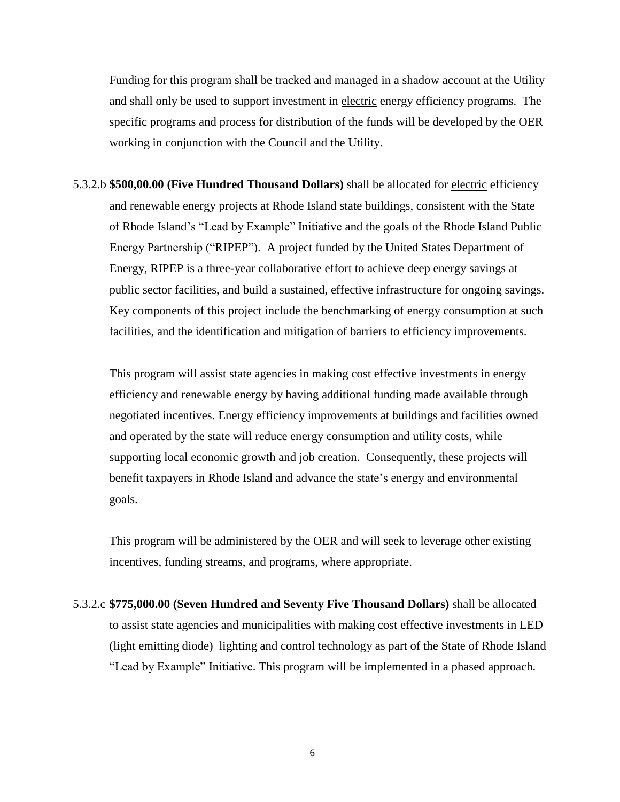Funding for this program shall be tracked and managed in a shadow account at the Utility and shall only be used to support investment in electric energy efficiency programs. The specific programs and process for distribution of the funds will be developed by the OER working in conjunction with the Council and the Utility.

5.3.2.b **\$500,00.00 (Five Hundred Thousand Dollars)** shall be allocated for electric efficiency and renewable energy projects at Rhode Island state buildings, consistent with the State of Rhode Island's "Lead by Example" Initiative and the goals of the Rhode Island Public Energy Partnership ("RIPEP"). A project funded by the United States Department of Energy, RIPEP is a three-year collaborative effort to achieve deep energy savings at public sector facilities, and build a sustained, effective infrastructure for ongoing savings. Key components of this project include the benchmarking of energy consumption at such facilities, and the identification and mitigation of barriers to efficiency improvements.

This program will assist state agencies in making cost effective investments in energy efficiency and renewable energy by having additional funding made available through negotiated incentives. Energy efficiency improvements at buildings and facilities owned and operated by the state will reduce energy consumption and utility costs, while supporting local economic growth and job creation. Consequently, these projects will benefit taxpayers in Rhode Island and advance the state's energy and environmental goals.

This program will be administered by the OER and will seek to leverage other existing incentives, funding streams, and programs, where appropriate.

5.3.2.c **\$775,000.00 (Seven Hundred and Seventy Five Thousand Dollars)** shall be allocated to assist state agencies and municipalities with making cost effective investments in LED (light emitting diode) lighting and control technology as part of the State of Rhode Island "Lead by Example" Initiative. This program will be implemented in a phased approach.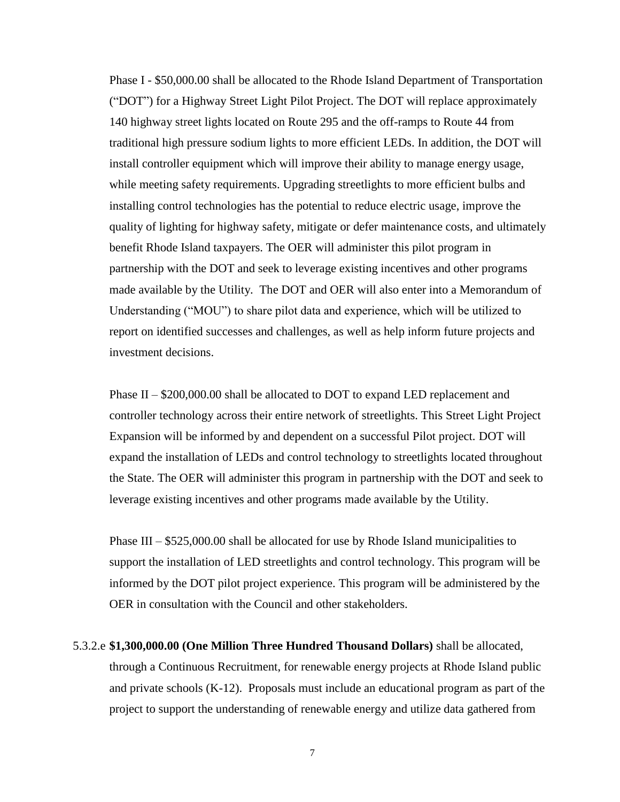Phase I - \$50,000.00 shall be allocated to the Rhode Island Department of Transportation ("DOT") for a Highway Street Light Pilot Project. The DOT will replace approximately 140 highway street lights located on Route 295 and the off-ramps to Route 44 from traditional high pressure sodium lights to more efficient LEDs. In addition, the DOT will install controller equipment which will improve their ability to manage energy usage, while meeting safety requirements. Upgrading streetlights to more efficient bulbs and installing control technologies has the potential to reduce electric usage, improve the quality of lighting for highway safety, mitigate or defer maintenance costs, and ultimately benefit Rhode Island taxpayers. The OER will administer this pilot program in partnership with the DOT and seek to leverage existing incentives and other programs made available by the Utility. The DOT and OER will also enter into a Memorandum of Understanding ("MOU") to share pilot data and experience, which will be utilized to report on identified successes and challenges, as well as help inform future projects and investment decisions.

Phase II – \$200,000.00 shall be allocated to DOT to expand LED replacement and controller technology across their entire network of streetlights. This Street Light Project Expansion will be informed by and dependent on a successful Pilot project. DOT will expand the installation of LEDs and control technology to streetlights located throughout the State. The OER will administer this program in partnership with the DOT and seek to leverage existing incentives and other programs made available by the Utility.

Phase III – \$525,000.00 shall be allocated for use by Rhode Island municipalities to support the installation of LED streetlights and control technology. This program will be informed by the DOT pilot project experience. This program will be administered by the OER in consultation with the Council and other stakeholders.

5.3.2.e **\$1,300,000.00 (One Million Three Hundred Thousand Dollars)** shall be allocated, through a Continuous Recruitment, for renewable energy projects at Rhode Island public and private schools (K-12). Proposals must include an educational program as part of the project to support the understanding of renewable energy and utilize data gathered from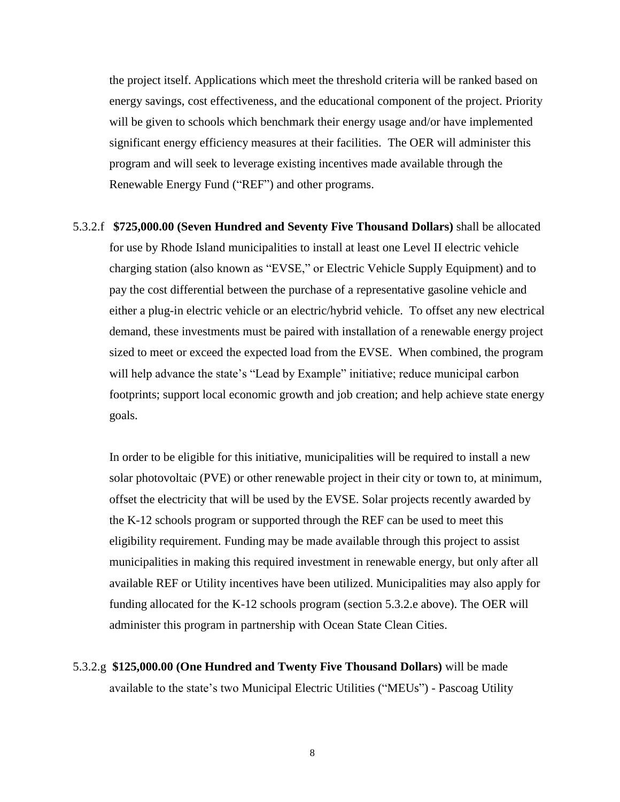the project itself. Applications which meet the threshold criteria will be ranked based on energy savings, cost effectiveness, and the educational component of the project. Priority will be given to schools which benchmark their energy usage and/or have implemented significant energy efficiency measures at their facilities. The OER will administer this program and will seek to leverage existing incentives made available through the Renewable Energy Fund ("REF") and other programs.

5.3.2.f **\$725,000.00 (Seven Hundred and Seventy Five Thousand Dollars)** shall be allocated for use by Rhode Island municipalities to install at least one Level II electric vehicle charging station (also known as "EVSE," or Electric Vehicle Supply Equipment) and to pay the cost differential between the purchase of a representative gasoline vehicle and either a plug-in electric vehicle or an electric/hybrid vehicle. To offset any new electrical demand, these investments must be paired with installation of a renewable energy project sized to meet or exceed the expected load from the EVSE. When combined, the program will help advance the state's "Lead by Example" initiative; reduce municipal carbon footprints; support local economic growth and job creation; and help achieve state energy goals.

In order to be eligible for this initiative, municipalities will be required to install a new solar photovoltaic (PVE) or other renewable project in their city or town to, at minimum, offset the electricity that will be used by the EVSE. Solar projects recently awarded by the K-12 schools program or supported through the REF can be used to meet this eligibility requirement. Funding may be made available through this project to assist municipalities in making this required investment in renewable energy, but only after all available REF or Utility incentives have been utilized. Municipalities may also apply for funding allocated for the K-12 schools program (section 5.3.2.e above). The OER will administer this program in partnership with Ocean State Clean Cities.

5.3.2.g **\$125,000.00 (One Hundred and Twenty Five Thousand Dollars)** will be made available to the state's two Municipal Electric Utilities ("MEUs") - Pascoag Utility